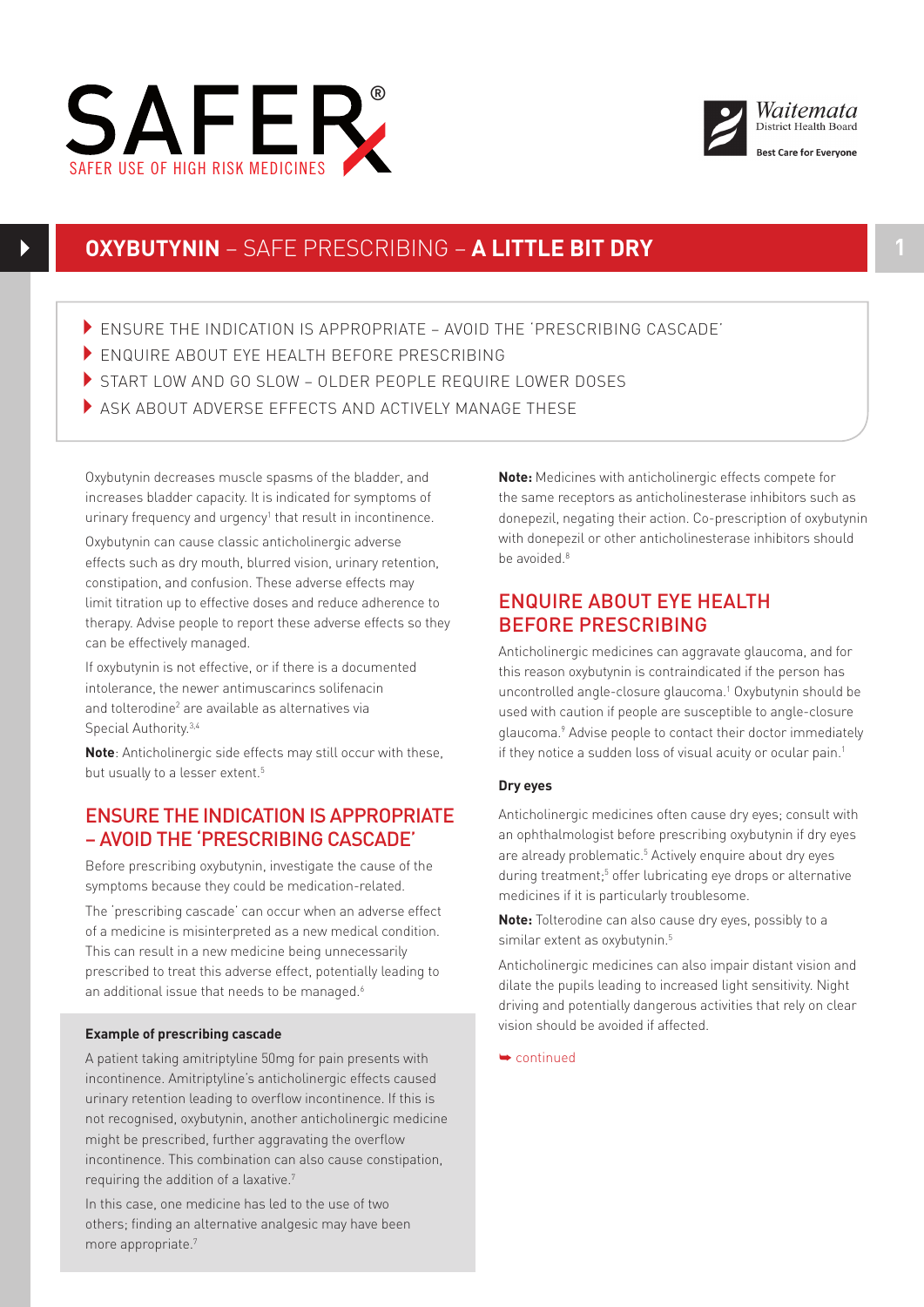



# **OXYBUTYNIN** – SAFE PRESCRIBING – **A LITTLE BIT DRY 1**

- ENSURE THE INDICATION IS APPROPRIATE AVOID THE 'PRESCRIBING CASCADE'
- ENQUIRE ABOUT EYE HEALTH BEFORE PRESCRIBING
- START LOW AND GO SLOW OLDER PEOPLE REQUIRE LOWER DOSES
- ASK ABOUT ADVERSE EFFECTS AND ACTIVELY MANAGE THESE

Oxybutynin decreases muscle spasms of the bladder, and increases bladder capacity. It is indicated for symptoms of urinary frequency and urgency<sup>1</sup> that result in incontinence.

Oxybutynin can cause classic anticholinergic adverse effects such as dry mouth, blurred vision, urinary retention, constipation, and confusion. These adverse effects may limit titration up to effective doses and reduce adherence to therapy. Advise people to report these adverse effects so they can be effectively managed.

If oxybutynin is not effective, or if there is a documented intolerance, the newer antimuscarincs solifenacin and tolterodine<sup>2</sup> are available as alternatives via Special Authority.<sup>3,4</sup>

**Note**: Anticholinergic side effects may still occur with these, but usually to a lesser extent.<sup>5</sup>

### ENSURE THE INDICATION IS APPROPRIATE – AVOID THE 'PRESCRIBING CASCADE'

Before prescribing oxybutynin, investigate the cause of the symptoms because they could be medication-related.

The 'prescribing cascade' can occur when an adverse effect of a medicine is misinterpreted as a new medical condition. This can result in a new medicine being unnecessarily prescribed to treat this adverse effect, potentially leading to an additional issue that needs to be managed.<sup>6</sup>

### **Example of prescribing cascade**

A patient taking amitriptyline 50mg for pain presents with incontinence. Amitriptyline's anticholinergic effects caused urinary retention leading to overflow incontinence. If this is not recognised, oxybutynin, another anticholinergic medicine might be prescribed, further aggravating the overflow incontinence. This combination can also cause constipation, requiring the addition of a laxative.7

In this case, one medicine has led to the use of two others; finding an alternative analgesic may have been more appropriate.7

**Note:** Medicines with anticholinergic effects compete for the same receptors as anticholinesterase inhibitors such as donepezil, negating their action. Co-prescription of oxybutynin with donepezil or other anticholinesterase inhibitors should **be avoided** 8

## ENQUIRE ABOUT EYE HEALTH BEFORE PRESCRIBING

Anticholinergic medicines can aggravate glaucoma, and for this reason oxybutynin is contraindicated if the person has uncontrolled angle-closure glaucoma.<sup>1</sup> Oxybutynin should be used with caution if people are susceptible to angle-closure glaucoma.<sup>9</sup> Advise people to contact their doctor immediately if they notice a sudden loss of visual acuity or ocular pain.<sup>1</sup>

### **Dry eyes**

Anticholinergic medicines often cause dry eyes; consult with an ophthalmologist before prescribing oxybutynin if dry eyes are already problematic.<sup>5</sup> Actively enquire about dry eyes during treatment;<sup>5</sup> offer lubricating eye drops or alternative medicines if it is particularly troublesome.

**Note:** Tolterodine can also cause dry eyes, possibly to a similar extent as oxybutynin.<sup>5</sup>

Anticholinergic medicines can also impair distant vision and dilate the pupils leading to increased light sensitivity. Night driving and potentially dangerous activities that rely on clear vision should be avoided if affected.

➥ continued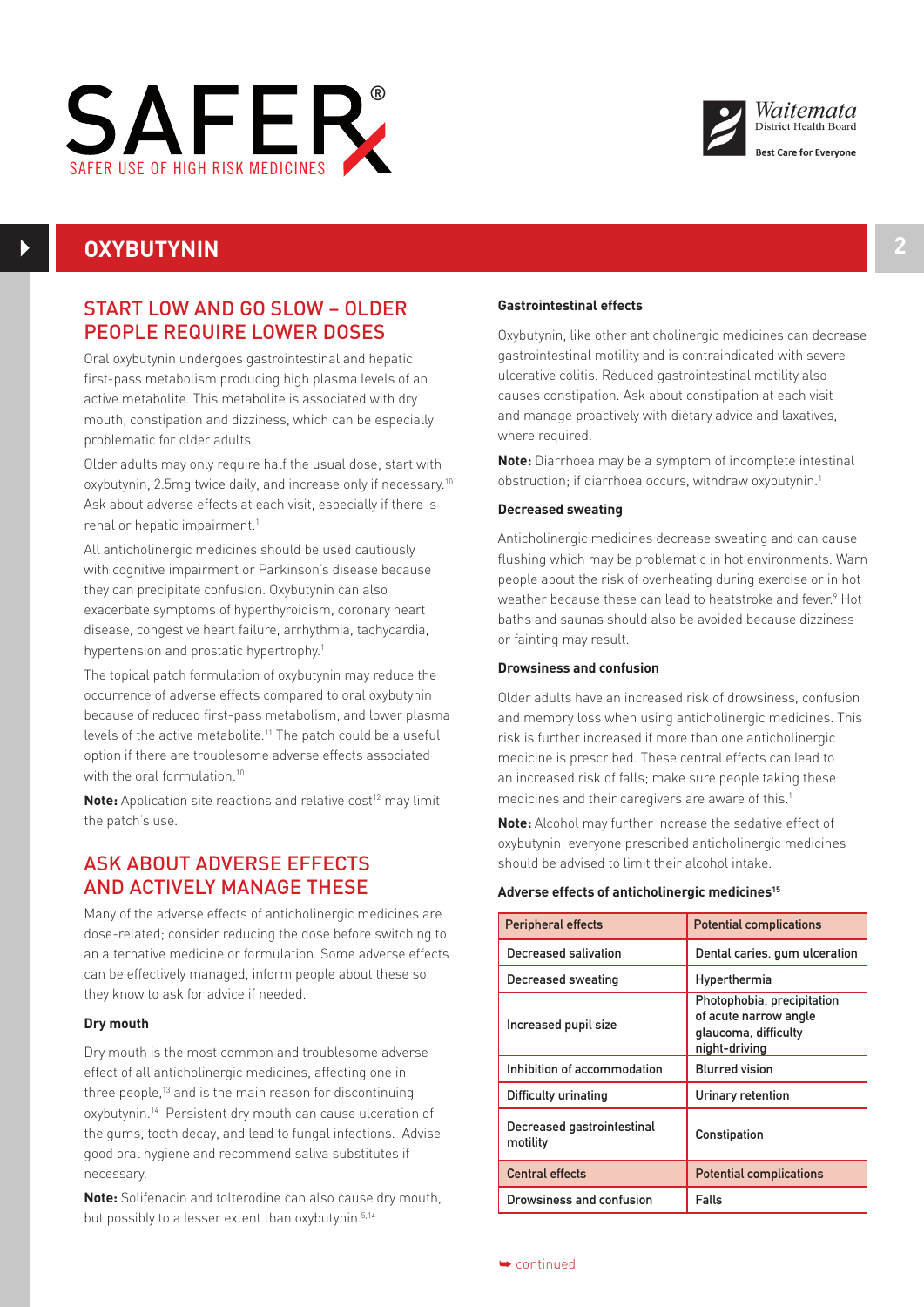



# **OXYBUTYNIN 2**

## START LOW AND GO SLOW – OLDER PEOPLE REQUIRE LOWER DOSES

Oral oxybutynin undergoes gastrointestinal and hepatic first-pass metabolism producing high plasma levels of an active metabolite. This metabolite is associated with dry mouth, constipation and dizziness, which can be especially problematic for older adults.

prostemate for stacr addits:<br>Older adults may only require half the usual dose; start with oxybutynin, 2.5mg twice daily, and increase only if necessary.10 Ask about adverse effects at each visit, especially if there is renal or hepatic impairment.<sup>1</sup>

All anticholinergic medicines should be used cautiously with cognitive impairment or Parkinson's disease because they can precipitate confusion. Oxybutynin can also exacerbate symptoms of hyperthyroidism, coronary heart disease, congestive heart failure, arrhythmia, tachycardia, hypertension and prostatic hypertrophy.1

The topical patch formulation of oxybutynin may reduce the occurrence of adverse effects compared to oral oxybutynin because of reduced first-pass metabolism, and lower plasma levels of the active metabolite.<sup>11</sup> The patch could be a useful option if there are troublesome adverse effects associated with the oral formulation.<sup>10</sup>

**Note:** Application site reactions and relative cost<sup>12</sup> may limit the patch's use.

## ASK ABOUT ADVERSE EFFECTS AND ACTIVELY MANAGE THESE

Many of the adverse effects of anticholinergic medicines are dose-related; consider reducing the dose before switching to an alternative medicine or formulation. Some adverse effects can be effectively managed, inform people about these so they know to ask for advice if needed.

### **Dry mouth**

Dry mouth is the most common and troublesome adverse effect of all anticholinergic medicines, affecting one in three people,<sup>13</sup> and is the main reason for discontinuing oxybutynin.14 Persistent dry mouth can cause ulceration of the gums, tooth decay, and lead to fungal infections. Advise good oral hygiene and recommend saliva substitutes if necessary.

**Note:** Solifenacin and tolterodine can also cause dry mouth, but possibly to a lesser extent than oxybutynin.5,14

### **Gastrointestinal effects**

Oxybutynin, like other anticholinergic medicines can decrease gastrointestinal motility and is contraindicated with severe ulcerative colitis. Reduced gastrointestinal motility also causes constipation. Ask about constipation at each visit and manage proactively with dietary advice and laxatives, where required.

**Note:** Diarrhoea may be a symptom of incomplete intestinal obstruction; if diarrhoea occurs, withdraw oxybutynin.1

#### **Decreased sweating**

Anticholinergic medicines decrease sweating and can cause flushing which may be problematic in hot environments. Warn people about the risk of overheating during exercise or in hot weather because these can lead to heatstroke and fever.<sup>9</sup> Hot baths and saunas should also be avoided because dizziness or fainting may result.

#### **Drowsiness and confusion**

Older adults have an increased risk of drowsiness, confusion and memory loss when using anticholinergic medicines. This risk is further increased if more than one anticholinergic medicine is prescribed. These central effects can lead to an increased risk of falls; make sure people taking these medicines and their caregivers are aware of this.<sup>1</sup>

**Note:** Alcohol may further increase the sedative effect of oxybutynin; everyone prescribed anticholinergic medicines should be advised to limit their alcohol intake.

#### **Adverse effects of anticholinergic medicines15**

| <b>Peripheral effects</b>              | <b>Potential complications</b>                                                               |
|----------------------------------------|----------------------------------------------------------------------------------------------|
| Decreased salivation                   | Dental caries, gum ulceration                                                                |
| Decreased sweating                     | Hyperthermia                                                                                 |
| Increased pupil size                   | Photophobia, precipitation<br>of acute narrow angle<br>glaucoma, difficulty<br>night-driving |
| Inhibition of accommodation            | <b>Blurred vision</b>                                                                        |
| Difficulty urinating                   | Urinary retention                                                                            |
| Decreased gastrointestinal<br>motility | Constipation                                                                                 |
| <b>Central effects</b>                 | <b>Potential complications</b>                                                               |
| Drowsiness and confusion               | Falls                                                                                        |